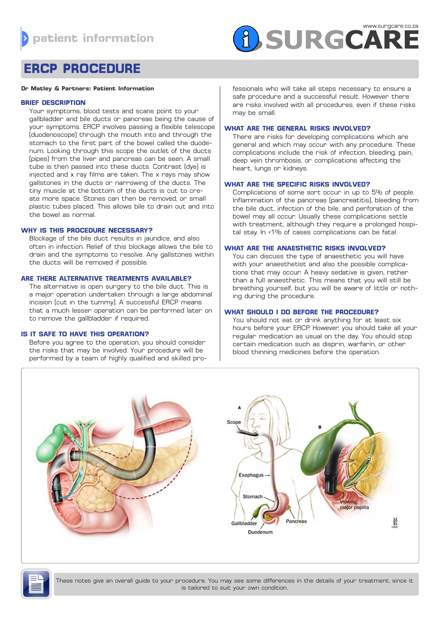

# **ERCP PROCEDURE**

#### **Dr Matley & Partners: Patient Information**

# **BRIEF DESCRIPTION**

Your symptoms, blood tests and scans point to your gallbladder and bile ducts or pancreas being the cause of your symptoms. ERCP involves passing a flexible telescope (duodenoscope) through the mouth into and through the stomach to the first part of the bowel called the duodenum. Looking through this scope the outlet of the ducts (pipes) from the liver and pancreas can be seen. A small tube is then passed into these ducts. Contrast (dye) is injected and x ray films are taken. The x rays may show gallstones in the ducts or narrowing of the ducts. The tiny muscle at the bottom of the ducts is cut to create more space. Stones can then be removed, or small plastic tubes placed. This allows bile to drain out and into the bowel as normal.

# **WHY IS THIS PROCEDURE NECESSARY?**

Blockage of the bile duct results in jaundice, and also often in infection. Relief of this blockage allows the bile to drain and the symptoms to resolve. Any gallstones within the ducts will be removed if possible.

# **ARE THERE ALTERNATIVE TREATMENTS AVAILABLE?**

The alternative is open surgery to the bile duct. This is a major operation undertaken through a large abdominal incision (cut in the tummy). A successful ERCP means that a much lesser operation can be performed later on to remove the gallbladder if required.

# **IS IT SAFE TO HAVE THIS OPERATION?**

Before you agree to the operation, you should consider the risks that may be involved. Your procedure will be performed by a team of highly qualified and skilled pro-

fessionals who will take all steps necessary to ensure a safe procedure and a successful result. However there are risks involved with all procedures, even if these risks may be small.

## **WHAT ARE THE GENERAL RISKS INVOLVED?**

There are risks for developing complications which are general and which may occur with any procedure. These complications include the risk of infection, bleeding, pain, deep vein thrombosis, or complications affecting the heart, lungs or kidneys.

## **WHAT ARE THE SPECIFIC RISKS INVOLVED?**

Complications of some sort occur in up to 5% of people. Inflammation of the pancreas (pancreatitis), bleeding from the bile duct, infection of the bile, and perforation of the bowel may all occur. Usually these complications settle with treatment, although they require a prolonged hospital stay. In <1% of cases complications can be fatal.

## **WHAT ARE THE ANAESTHETIC RISKS INVOLVED?**

You can discuss the type of anaesthetic you will have with your anaesthetist and also the possible complications that may occur. A heavy sedative is given, rather than a full anaesthetic. This means that you will still be breathing yourself, but you will be aware of little or nothing during the procedure.

# **WHAT SHOULD I DO BEFORE THE PROCEDURE?**

You should not eat or drink anything for at least six hours before your ERCP. However, you should take all your regular medication as usual on the day. You should stop certain medication such as disprin, warfarin, or other blood thinning medicines before the operation.





These notes give an overall guide to your procedure. You may see some differences in the details of your treatment, since it is tailored to suit your own condition.